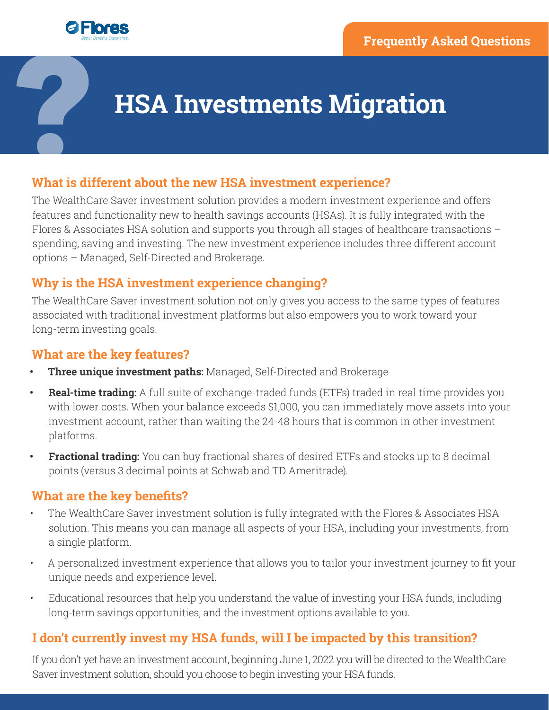

# **HSA Investments Migration**

# **What is different about the new HSA investment experience?**

The WealthCare Saver investment solution provides a modern investment experience and offers features and functionality new to health savings accounts (HSAs). It is fully integrated with the Flores & Associates HSA solution and supports you through all stages of healthcare transactions – spending, saving and investing. The new investment experience includes three different account options – Managed, Self-Directed and Brokerage.

# **Why is the HSA investment experience changing?**

The WealthCare Saver investment solution not only gives you access to the same types of features associated with traditional investment platforms but also empowers you to work toward your long-term investing goals.

## **What are the key features?**

- **• Three unique investment paths:** Managed, Self-Directed and Brokerage
- **• Real-time trading:** A full suite of exchange-traded funds (ETFs) traded in real time provides you with lower costs. When your balance exceeds \$1,000, you can immediately move assets into your investment account, rather than waiting the 24-48 hours that is common in other investment platforms.
- **• Fractional trading:** You can buy fractional shares of desired ETFs and stocks up to 8 decimal points (versus 3 decimal points at Schwab and TD Ameritrade).

# **What are the key benefits?**

- The WealthCare Saver investment solution is fully integrated with the Flores & Associates HSA solution. This means you can manage all aspects of your HSA, including your investments, from a single platform.
- A personalized investment experience that allows you to tailor your investment journey to fit your unique needs and experience level.
- Educational resources that help you understand the value of investing your HSA funds, including long-term savings opportunities, and the investment options available to you.

# **I don't currently invest my HSA funds, will I be impacted by this transition?**

If you don't yet have an investment account, beginning June 1, 2022 you will be directed to the WealthCare Saver investment solution, should you choose to begin investing your HSA funds.